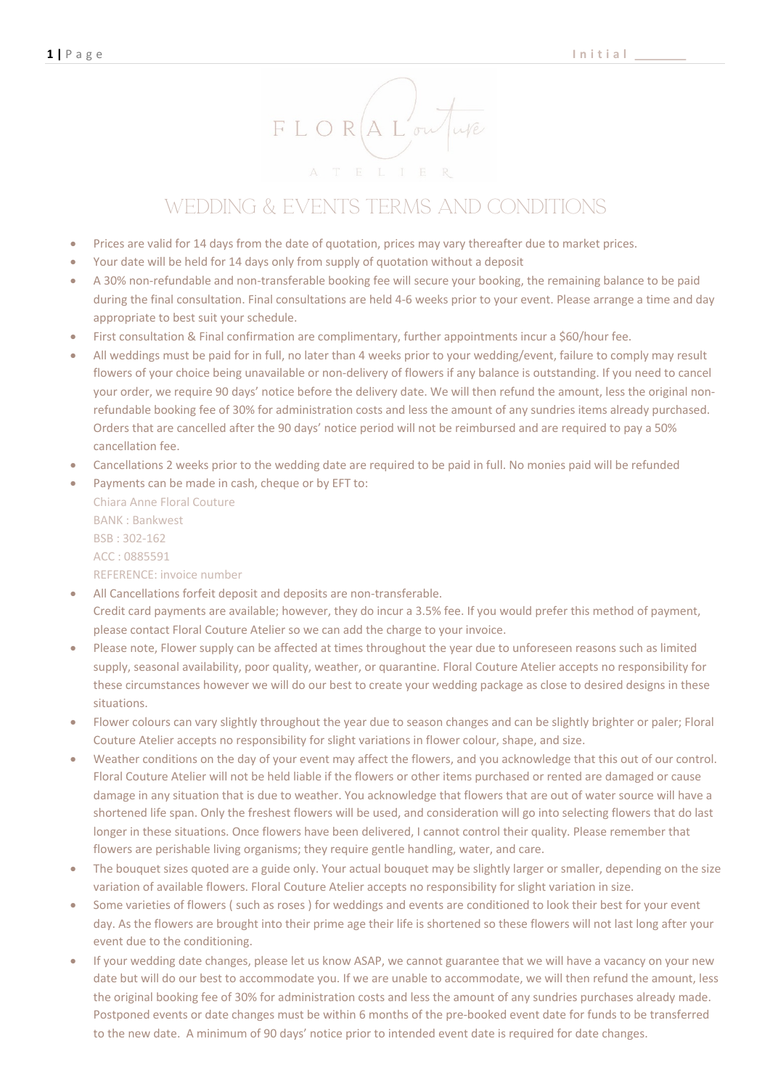

## Wedding & Events Terms and Conditions

- Prices are valid for 14 days from the date of quotation, prices may vary thereafter due to market prices.
- Your date will be held for 14 days only from supply of quotation without a deposit
- A 30% non-refundable and non-transferable booking fee will secure your booking, the remaining balance to be paid during the final consultation. Final consultations are held 4-6 weeks prior to your event. Please arrange a time and day appropriate to best suit your schedule.
- First consultation & Final confirmation are complimentary, further appointments incur a \$60/hour fee.
- All weddings must be paid for in full, no later than 4 weeks prior to your wedding/event, failure to comply may result flowers of your choice being unavailable or non-delivery of flowers if any balance is outstanding. If you need to cancel your order, we require 90 days' notice before the delivery date. We will then refund the amount, less the original nonrefundable booking fee of 30% for administration costs and less the amount of any sundries items already purchased. Orders that are cancelled after the 90 days' notice period will not be reimbursed and are required to pay a 50% cancellation fee.
- Cancellations 2 weeks prior to the wedding date are required to be paid in full. No monies paid will be refunded
- Payments can be made in cash, cheque or by EFT to:

Chiara Anne Floral Couture BANK : Bankwest BSB : 302-162 ACC : 0885591 REFERENCE: invoice number

- All Cancellations forfeit deposit and deposits are non-transferable. Credit card payments are available; however, they do incur a 3.5% fee. If you would prefer this method of payment, please contact Floral Couture Atelier so we can add the charge to your invoice.
- Please note, Flower supply can be affected at times throughout the year due to unforeseen reasons such as limited supply, seasonal availability, poor quality, weather, or quarantine. Floral Couture Atelier accepts no responsibility for these circumstances however we will do our best to create your wedding package as close to desired designs in these situations.
- Flower colours can vary slightly throughout the year due to season changes and can be slightly brighter or paler; Floral Couture Atelier accepts no responsibility for slight variations in flower colour, shape, and size.
- Weather conditions on the day of your event may affect the flowers, and you acknowledge that this out of our control. Floral Couture Atelier will not be held liable if the flowers or other items purchased or rented are damaged or cause damage in any situation that is due to weather. You acknowledge that flowers that are out of water source will have a shortened life span. Only the freshest flowers will be used, and consideration will go into selecting flowers that do last longer in these situations. Once flowers have been delivered, I cannot control their quality. Please remember that flowers are perishable living organisms; they require gentle handling, water, and care.
- The bouquet sizes quoted are a guide only. Your actual bouquet may be slightly larger or smaller, depending on the size variation of available flowers. Floral Couture Atelier accepts no responsibility for slight variation in size.
- Some varieties of flowers ( such as roses ) for weddings and events are conditioned to look their best for your event day. As the flowers are brought into their prime age their life is shortened so these flowers will not last long after your event due to the conditioning.
- If your wedding date changes, please let us know ASAP, we cannot guarantee that we will have a vacancy on your new date but will do our best to accommodate you. If we are unable to accommodate, we will then refund the amount, less the original booking fee of 30% for administration costs and less the amount of any sundries purchases already made. Postponed events or date changes must be within 6 months of the pre-booked event date for funds to be transferred to the new date. A minimum of 90 days' notice prior to intended event date is required for date changes.